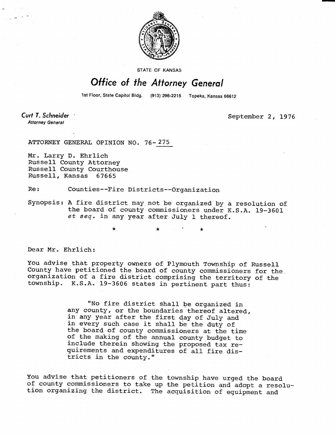

STATE OF KANSAS

## Office of the Attorney General

1st Floor, State Capitol Bldg. (913) 296-2215 Topeka, Kansas 66612

Curt T. Schneider **Attorney General** 

September 2, 1976

ATTORNEY GENERAL OPINION NO. 76-275

Mr. Larry D. Ehrlich Russell County Attorney Russell County Courthouse Russell, Kansas 67665

Re: Counties--Fire Districts--Organization

Synopsis: A fire district may not be organized by a resolution of the board of county commissioners under K.S.A. 19-3601 et seq. in any year after July 1 thereof.

Dear Mr. Ehrlich:

You advise that property owners of Plymouth Township of Russell County have petitioned the board of county commissioners for the organization of a fire district comprising the territory of the township. K.S.A. 19-3606 states in pertinent part thus:

> "No fire district shall be organized in any county, or the boundaries thereof altered, in any year after the first day of July and in every such case it shall be the duty of the board of county commissioners at the time of the making of the annual county budget to include therein showing the proposed tax requirements and expenditures of all fire districts in the county."

You advise that petitioners of the township have urged the board of county commissioners to take up the petition and adopt a resolution organizing the district. The acquisition of equipment and